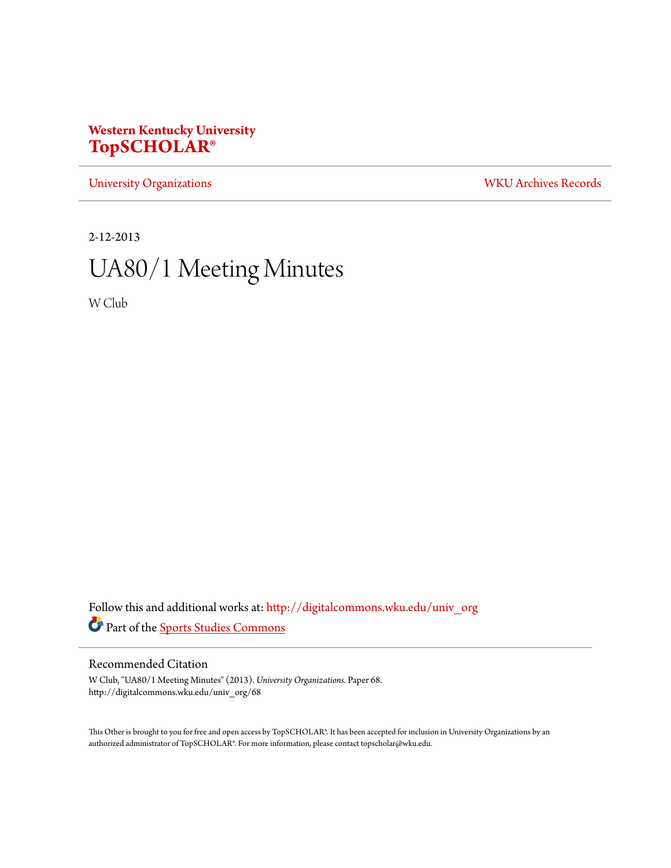## **Western Kentucky University [TopSCHOLAR®](http://digitalcommons.wku.edu?utm_source=digitalcommons.wku.edu%2Funiv_org%2F68&utm_medium=PDF&utm_campaign=PDFCoverPages)**

[University Organizations](http://digitalcommons.wku.edu/univ_org?utm_source=digitalcommons.wku.edu%2Funiv_org%2F68&utm_medium=PDF&utm_campaign=PDFCoverPages) [WKU Archives Records](http://digitalcommons.wku.edu/dlsc_ua_records?utm_source=digitalcommons.wku.edu%2Funiv_org%2F68&utm_medium=PDF&utm_campaign=PDFCoverPages)

2-12-2013

# UA80/1 Meeting Minutes

W Club

Follow this and additional works at: [http://digitalcommons.wku.edu/univ\\_org](http://digitalcommons.wku.edu/univ_org?utm_source=digitalcommons.wku.edu%2Funiv_org%2F68&utm_medium=PDF&utm_campaign=PDFCoverPages) Part of the [Sports Studies Commons](http://network.bepress.com/hgg/discipline/1198?utm_source=digitalcommons.wku.edu%2Funiv_org%2F68&utm_medium=PDF&utm_campaign=PDFCoverPages)

### Recommended Citation

W Club, "UA80/1 Meeting Minutes" (2013). *University Organizations.* Paper 68. http://digitalcommons.wku.edu/univ\_org/68

This Other is brought to you for free and open access by TopSCHOLAR®. It has been accepted for inclusion in University Organizations by an authorized administrator of TopSCHOLAR®. For more information, please contact topscholar@wku.edu.